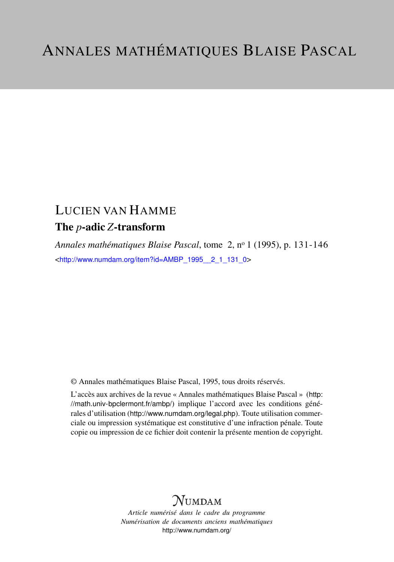# LUCIEN VAN HAMME

### The *p*-adic *Z*-transform

*Annales mathématiques Blaise Pascal*, tome 2, n<sup>o</sup> 1 (1995), p. 131-146 <[http://www.numdam.org/item?id=AMBP\\_1995\\_\\_2\\_1\\_131\\_0](http://www.numdam.org/item?id=AMBP_1995__2_1_131_0)>

© Annales mathématiques Blaise Pascal, 1995, tous droits réservés.

L'accès aux archives de la revue « Annales mathématiques Blaise Pascal » ([http:](http://math.univ-bpclermont.fr/ambp/) [//math.univ-bpclermont.fr/ambp/](http://math.univ-bpclermont.fr/ambp/)) implique l'accord avec les conditions générales d'utilisation (<http://www.numdam.org/legal.php>). Toute utilisation commerciale ou impression systématique est constitutive d'une infraction pénale. Toute copie ou impression de ce fichier doit contenir la présente mention de copyright.

### **NUMDAM**

*Article numérisé dans le cadre du programme Numérisation de documents anciens mathématiques* <http://www.numdam.org/>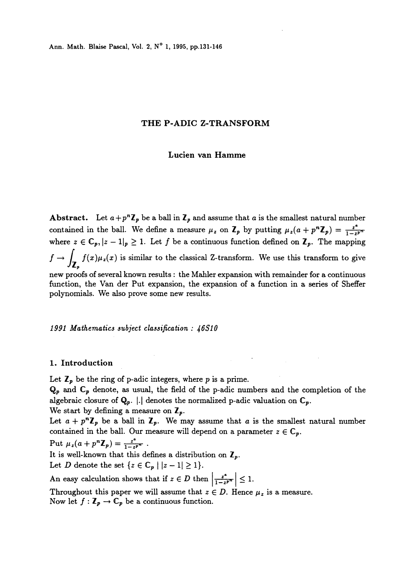#### THE P-ADIC Z-TRANSFORM

#### Lucien van Hamme

**Abstract.** Let  $a+p^n\mathbb{Z}_p$  be a ball in  $\mathbb{Z}_p$  and assume that a is the smallest natural number contained in the ball. We define a measure  $\mu_z$  on  $\mathbf{Z}_p$  by putting  $\mu_z(a + p^n \mathbf{Z}_p) = \frac{z^a}{1-z^p}$ where  $z \in \mathbb{C}_p$ ,  $|z - 1|_p \ge 1$ . Let f be a continuous function defined on  $\mathbb{Z}_p$ . The mapping  $f \to \int_{\mathbb{Z}_2} f(x) \mu_z(x)$  is similar to the classical Z-transform. We use this transform to give new proofs of several known results : the Mahler expansion with remainder for a continuous function, the Van der Put expansion, the expansion of a function in a series of Sheffer polynomials. We also prove some new results.

#### 1991 Mathematics subject classification : 46S10

#### 1. Introduction

Let  $\mathbb{Z}_p$  be the ring of p-adic integers, where p is a prime.

 $\mathbf{Q}_p$  and  $\mathbf{C}_p$  denote, as usual, the field of the p-adic numbers and the completion of the algebraic closure of  $Q_p$ .  $|.|$  denotes the normalized p-adic valuation on  $C_p$ .

We start by defining a measure on  $\mathbb{Z}_p$ .

Let  $a + p^n \mathbb{Z}_p$  be a ball in  $\mathbb{Z}_p$ . We may assume that a is the smallest natural number contained in the ball. Our measure will depend on a parameter  $z \in \mathbb{C}_p$ .

Put  $\mu_z(a + p^n \mathbb{Z}_p) = \frac{z^a}{1 - z^{p^m}}$ .

It is well-known that this defines a distribution on  $\mathbb{Z}_p$ .

Let D denote the set  $\{z \in \mathbb{C}_p \mid |z-1| \geq 1\}.$ 

An easy calculation shows that if  $z \in D$  then  $\left|\frac{z^4}{1-z^{p^m}}\right| \leq 1$ .

Throughout this paper we will assume that  $z \in D$ . Hence  $\mu_z$  is a measure. Now let  $f: \mathbb{Z}_p \to \mathbb{C}_p$  be a continuous function.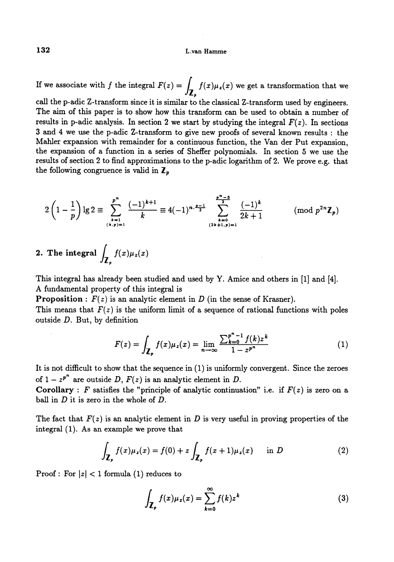If we associate with f the integral  $F(z) = \int_{\mathbb{Z}_2} f(x) \mu_z(x)$  we get a transformation that we

call the p-adic Z-transform since it is similar to the classical Z-transform used by engineers. The aim of this paper is to show how this transform can be used to obtain a number of results in p-adic analysis. In section 2 we start by studying the integral  $F(z)$ . In sections 3 and 4 we use the p-adic Z-transform to give new proofs of several known results : the Mahler expansion with remainder for a continuous function, the Van der Put expansion, the expansion of a function in a series of Sheffer polynomials. In section 5 we use the results of section 2 to find approximations to the p-adic logarithm of 2. We prove e.g. that the following congruence is valid in  $\mathbf{Z}_p$ 

$$
2\left(1-\frac{1}{p}\right)\lg 2 \equiv \sum_{\substack{k=1\\(k,p)=1}}^{p^n} \frac{(-1)^{k+1}}{k} \equiv 4(-1)^{n\cdot\frac{p-1}{2}} \sum_{\substack{k=0\\(2k+1,p)=1}}^{p^n-3} \frac{(-1)^k}{2k+1} \qquad \pmod{p^{2n}\mathbb{Z}_p}
$$

2. The integral 
$$
\int_{\mathbb{Z}_p} f(x) \mu_x(x)
$$

This integral has already been studied and used by Y. Amice and others in [1] and [4]. A fundamental property of this integral is

**Proposition** :  $F(z)$  is an analytic element in D (in the sense of Krasner).

This means that  $F(z)$  is the uniform limit of a sequence of rational functions with poles outside  $D$ . But, by definition

$$
F(z) = \int_{\mathbb{Z}_p} f(x) \mu_z(x) = \lim_{n \to \infty} \frac{\sum_{k=0}^{p^n - 1} f(k) z^k}{1 - z^{p^n}}
$$
(1)

It is not diflicult to show that the sequence in (1) is uniformly convergent. Since the zeroes of  $1 - z^{p^n}$  are outside D,  $F(z)$  is an analytic element in D.

Corollary : F satisfies the "principle of analytic continuation" i.e. if  $F(z)$  is zero on a ball in  $D$  it is zero in the whole of  $D$ .

The fact that  $F(z)$  is an analytic element in D is very useful in proving properties of the integral (1). As an example we prove that

$$
\int_{\mathbf{Z}_p} f(x)\mu_z(x) = f(0) + z \int_{\mathbf{Z}_p} f(x+1)\mu_z(x) \quad \text{in } D \tag{2}
$$

Proof : For  $|z| < 1$  formula (1) reduces to

$$
\int_{\mathbf{Z}_p} f(x) \mu_z(x) = \sum_{k=0}^{\infty} f(k) z^k \tag{3}
$$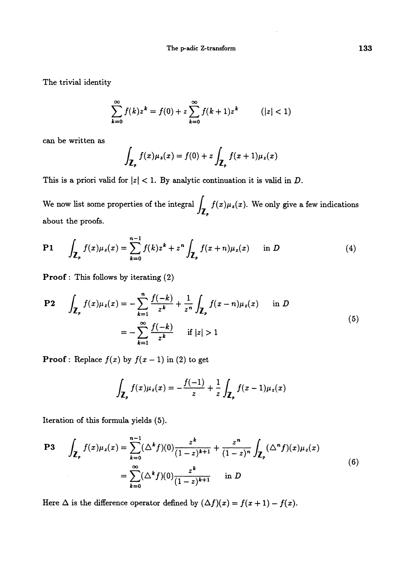The trivial identity

$$
\sum_{k=0}^{\infty} f(k) z^k = f(0) + z \sum_{k=0}^{\infty} f(k+1) z^k \qquad (|z| < 1)
$$

can be written as

$$
\int_{\mathbf{Z}_p} f(x)\mu_z(x) = f(0) + z \int_{\mathbf{Z}_p} f(x+1)\mu_z(x)
$$

This is a priori valid for  $|z| < 1$ . By analytic continuation it is valid in D.

We now list some properties of the integral  $\int_{\mathbb{Z}_p} f(x) \mu_z(x)$ . We only give a few indications about the proofs.

$$
P1 \qquad \int_{\mathbb{Z}_p} f(x) \mu_z(x) = \sum_{k=0}^{n-1} f(k) z^k + z^n \int_{\mathbb{Z}_p} f(x+n) \mu_z(x) \quad \text{in } D \tag{4}
$$

Proof : This follows by iterating (2)

$$
\begin{aligned} \mathbf{P2} \qquad & \int_{\mathbf{Z}_p} f(x) \mu_z(x) = -\sum_{k=1}^n \frac{f(-k)}{z^k} + \frac{1}{z^n} \int_{\mathbf{Z}_p} f(x-n) \mu_z(x) \qquad \text{in } D \\ &= -\sum_{k=1}^\infty \frac{f(-k)}{z^k} \qquad \text{if } |z| > 1 \end{aligned} \tag{5}
$$

**Proof**: Replace  $f(x)$  by  $f(x - 1)$  in (2) to get

$$
\int_{\mathbf{Z}_p} f(x) \mu_z(x) = -\frac{f(-1)}{z} + \frac{1}{z} \int_{\mathbf{Z}_p} f(x-1) \mu_z(x)
$$

Iteration of this formula yields (5).

$$
\mathbf{P3} \qquad \int_{\mathbb{Z}_p} f(x) \mu_z(x) = \sum_{k=0}^{n-1} (\Delta^k f)(0) \frac{z^k}{(1-z)^{k+1}} + \frac{z^n}{(1-z)^n} \int_{\mathbb{Z}_p} (\Delta^n f)(x) \mu_z(x)
$$
\n
$$
= \sum_{k=0}^{\infty} (\Delta^k f)(0) \frac{z^k}{(1-z)^{k+1}} \qquad \text{in } D \tag{6}
$$

Here  $\Delta$  is the difference operator defined by  $(\Delta f)(x) = f(x + 1) - f(x)$ .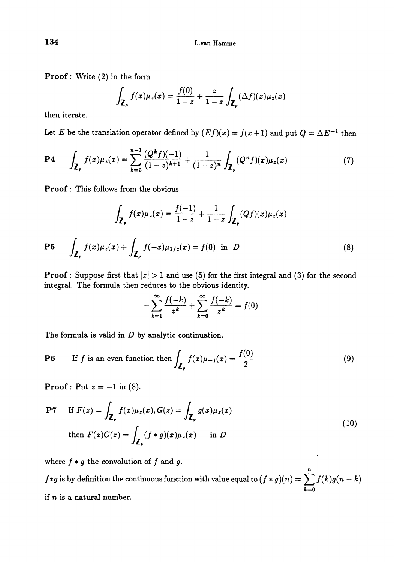Proof : Write (2) in the form

$$
\int_{\mathbf{Z}_p} f(x) \mu_z(x) = \frac{f(0)}{1-z} + \frac{z}{1-z} \int_{\mathbf{Z}_p} (\Delta f)(x) \mu_z(x)
$$

then iterate.

Let E be the translation operator defined by  $(E f)(x) = f(x + 1)$  and put  $Q = \Delta E^{-1}$  then

$$
P4 \qquad \int_{\mathbf{Z}_p} f(x) \mu_z(x) = \sum_{k=0}^{n-1} \frac{(Q^k f)(-1)}{(1-z)^{k+1}} + \frac{1}{(1-z)^n} \int_{\mathbf{Z}_p} (Q^n f)(x) \mu_z(x) \tag{7}
$$

Proof : This follows from the obvious

$$
\int_{\mathbf{Z}_p} f(x)\mu_z(x) = \frac{f(-1)}{1-z} + \frac{1}{1-z} \int_{\mathbf{Z}_p} (Qf)(x)\mu_z(x)
$$
  
\n**P5** 
$$
\int_{\mathbf{Z}_p} f(x)\mu_z(x) + \int_{\mathbf{Z}_p} f(-x)\mu_{1/z}(x) = f(0) \text{ in } D
$$
 (8)

**Proof**: Suppose first that  $|z| > 1$  and use (5) for the first integral and (3) for the second integral. The formula then reduces to the obvious identity.

$$
-\sum_{k=1}^{\infty} \frac{f(-k)}{z^k} + \sum_{k=0}^{\infty} \frac{f(-k)}{z^k} = f(0)
$$

The formula is valid in  $D$  by analytic continuation.

$$
\text{P6} \qquad \text{If } f \text{ is an even function then } \int_{\mathbb{Z}_p} f(x) \mu_{-1}(x) = \frac{f(0)}{2} \tag{9}
$$

**Proof**: Put  $z = -1$  in (8).

$$
\begin{aligned}\n\mathbf{P7} \quad \text{If } F(z) = \int_{\mathbb{Z}_p} f(x) \mu_z(x), G(z) = \int_{\mathbb{Z}_p} g(x) \mu_z(x) \\
\text{then } F(z)G(z) = \int_{\mathbb{Z}_p} (f * g)(x) \mu_z(x) \quad \text{in } D\n\end{aligned} \tag{10}
$$

where  $f * g$  the convolution of  $f$  and  $g$ .

 $f*g$  is by definition the continuous function with value equal to  $(f*g)(n) = \sum_{k=0} f(k)g(n-k)$ if  $n$  is a natural number.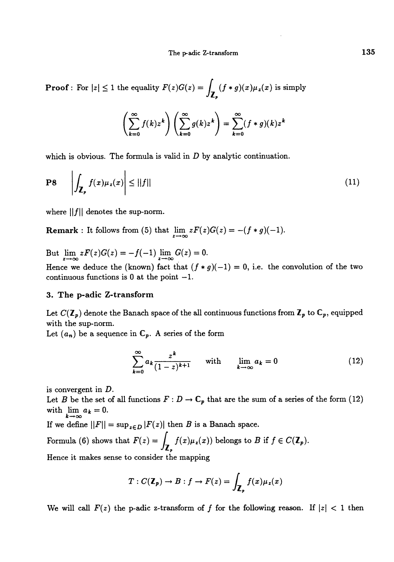**Proof**: For  $|z| \leq 1$  the equality  $F(z)G(z) = \int_{\mathbb{Z}_n} (f * g)(x) \mu_z(x)$  is simply

$$
\left(\sum_{k=0}^{\infty} f(k) z^k \right) \left(\sum_{k=0}^{\infty} g(k) z^k \right) = \sum_{k=0}^{\infty} (f * g)(k) z^k
$$

which is obvious. The formula is valid in  $D$  by analytic continuation.

$$
\left| \int_{\mathbb{Z}_p} f(x) \mu_z(x) \right| \le ||f|| \tag{11}
$$

where  $||f||$  denotes the sup-norm.

**Remark** : It follows from (5) that  $\lim_{z \to \infty} zF(z)G(z) = -(f * g)(-1)$ .

But  $\lim_{z \to \infty} zF(z)G(z) = -f(-1) \lim_{z \to \infty} G(z) = 0.$ Hence we deduce the (known) fact that  $(f * g)(-1) = 0$ , i.e. the convolution of the two continuous functions is  $0$  at the point  $-1$ .

#### 3. The p-adic Z-transform

Let  $C(\mathbb{Z}_p)$  denote the Banach space of the all continuous functions from  $\mathbb{Z}_p$  to  $\mathbb{C}_p$ , equipped with the sup-norm.

Let  $(a_n)$  be a sequence in  $\mathbb{C}_p$ . A series of the form

$$
\sum_{k=0}^{\infty} a_k \frac{z^k}{(1-z)^{k+1}} \quad \text{with} \quad \lim_{k \to \infty} a_k = 0 \tag{12}
$$

is convergent in D.

Let B be the set of all functions  $F: D \to \mathbb{C}_p$  that are the sum of a series of the form (12) with  $\lim_{k\to\infty} a_k = 0$ .

If we define  $||F|| = \sup_{z \in D} |F(z)|$  then B is a Banach space.

Formula (6) shows that  $F(z) = \int_{\mathbb{Z}_p} f(x) \mu_z(x)$  belongs to B if  $f \in C(\mathbb{Z}_p)$ .

Hence it makes sense to consider the mapping

$$
T: C(\mathbf{Z}_p) \to B: f \to F(z) = \int_{\mathbf{Z}_p} f(x) \mu_z(x)
$$

We will call  $F(z)$  the p-adic z-transform of f for the following reason. If  $|z| < 1$  then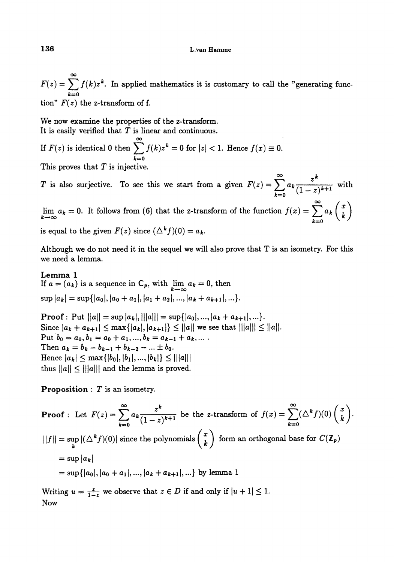$F(z) = \sum_{n=0}^{\infty} f(k)z^{k}$ . In applied mathematics it is customary to call the "generating func $k=0$ tion"  $F(z)$  the z-transform of f. L.van Hamme<br>
ied mathematics it is customary to call the "generating func-<br>
of f.<br>
rties of the z-transform.<br>
s linear and continuous.<br>  $\sum_{n=0}^{\infty} f(k)z^{k} = 0$  for  $|z| < 1$ . Hence  $f(x) \equiv 0$ .

We now examine the properties of the z-transform. It is easily verified that  $T$  is linear and continuous.

If  $F(z)$  is identical 0 then  $\sum_{k=0} f(k)z^k = 0$  for  $|z| < 1$ . Hence  $f(x) \equiv 0$ .  $F(z)$  is identical 0 then  $\sum_{k=0}^{\infty} f(k)z^k = 0$  for  $|z| < 1$ . Hence  $f(x)$ <br>is proves that T is injective.<br>is also surjective. To see this we start from a given  $F(z)$ 

This proves that  $T$  is injective.

T is also surjective. To see this we start from a given  $F(z) = \sum_{k=0}^{\infty} a_k \frac{z^k}{(1-z)^{k+1}}$  with

 $\lim_{k\to\infty} a_k = 0.$  It follows from (6) that the z-transform of the function  $f(x) = \sum_{k=0}^{\infty} a_k {x \choose k}$ is equal to the given  $F(z)$  since  $(\Delta^k f)(0) = a_k$ .

Although we do not need it in the sequel we will also prove that T is an isometry. For this we need a lemma.

Le mma 1 If  $a = (a_k)$  is a sequence in  $\mathbb{C}_p$ , with  $\lim_{k \to \infty} a_k = 0$ , then  $\sup |a_k| = \sup \{|a_0|, |a_0 + a_1|, |a_1 + a_2|, ..., |a_k + a_{k+1}|, ...\}.$ 

**Proof**: Put  $||a|| = \sup |a_k|$ ,  $|||a||| = \sup \{|a_0|, ..., |a_k + a_{k+1}|, ...\}.$ Since  $|a_k + a_{k+1}| \le \max\{|a_k|, |a_{k+1}|\} \le ||a||$  we see that  $|||a||| \le ||a||$ . Put  $b_0 = a_0, b_1 = a_0 + a_1, ..., b_k = a_{k-1} + a_k, ...$ Then  $a_k = b_k - b_{k-1} + b_{k-2} - ... \pm b_0$ .<br>
Hence  $|a_k| \leq \max\{|b_0|, |b_1|, ..., |b_k|\} \leq |||a|||$ thus  $||a|| \leq |||a|||$  and the lemma is proved.

**Proposition** :  $T$  is an isometry.

**Proof**: Let  $F(z) = \sum_{k=0}^{\infty} a_k \frac{z^k}{(1-z)^{k+1}}$  be the z-transform of  $f(x) = \sum_{k=0}^{\infty} (\Delta^k f)(0) \binom{x}{k}$ .  $||f|| = \sup_k |(\Delta^k f)(0)|$  since the polynomials  $\binom{x}{k}$  form an orthogonal base for  $C(\mathbb{Z}_p)$  $=$  sup  $|a_k|$  $=$  sup $\{|a_0|, |a_0 + a_1|, ..., |a_k + a_{k+1}|, ...\}$  by lemma 1

Writing  $u = \frac{z}{1-z}$  we observe that  $z \in D$  if and only if  $|u + 1| \leq 1$ . Now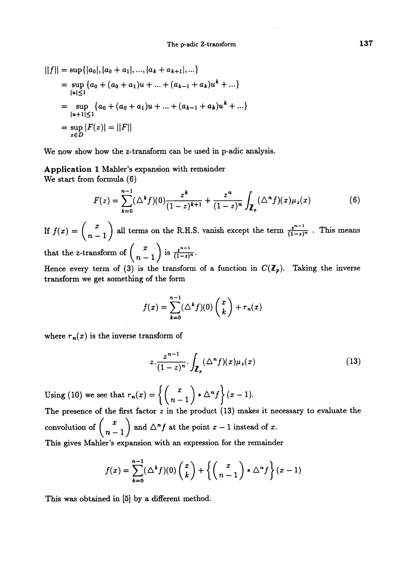$$
||f|| = \sup\{|a_0|, |a_0 + a_1|, ..., |a_k + a_{k+1}|, ...\}
$$
  
= 
$$
\sup_{|u| \le 1} \{a_0 + (a_0 + a_1)u + ... + (a_{k-1} + a_k)u^k + ...\}
$$
  
= 
$$
\sup_{|u+1| \le 1} \{a_0 + (a_0 + a_1)u + ... + (a_{k-1} + a_k)u^k + ...\}
$$
  
= 
$$
\sup_{z \in D} |F(z)| = ||F||
$$

We now show how the z-transform can be used in p-adic analysis.

Application 1 Mahler's expansion with remainder We start from formula (6)

$$
F(z) = \sum_{k=0}^{n-1} (\Delta^k f)(0) \frac{z^k}{(1-z)^{k+1}} + \frac{z^n}{(1-z)^n} \int_{\mathbf{Z}_p} (\Delta^n f)(x) \mu_z(x) \tag{6}
$$

If  $f(x) = {x \choose n-1}$  all terms on the R.H.S. vanish except the term  $\frac{z^{n-1}}{(1-z)^n}$ . This means that the z-transform of  $\binom{x}{n-1}$  is  $\frac{z^{n-1}}{(1-z)^n}$ .

Hence every term of (3) is the transform of a function in  $C(\mathbb{Z}_p)$ . Taking the inverse transform we get something of the form

$$
f(x) = \sum_{k=0}^{n-1} (\Delta^k f)(0) \binom{x}{k} + r_n(x)
$$

where  $r_n(x)$  is the inverse transform of

$$
z \cdot \frac{z^{n-1}}{(1-z)^n} \cdot \int_{\mathbb{Z}_p} (\Delta^n f)(x) \mu_z(x) \tag{13}
$$

Using (10) we see that  $r_n(x) = \left\{ \binom{x}{n-1} * \Delta^n f \right\} (x-1).$ The presence of the first factor  $z$  in the product (13) makes it necessary to evaluate the convolution of  $\binom{x}{n-1}$  and  $\Delta^n f$  at the point  $x-1$  instead of x. This gives Mahler's expansion with an expression for the remainder

$$
f(x) = \sum_{k=0}^{n-1} (\Delta^k f)(0) \binom{x}{k} + \left\{ \binom{x}{n-1} * \Delta^n f \right\} (x-1)
$$

This was obtained in [5] by a different method.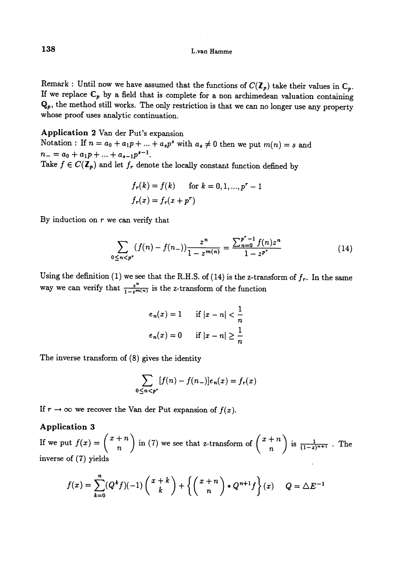Remark : Until now we have assumed that the functions of  $C(\mathbb{Z}_p)$  take their values in  $\mathbb{C}_p$ .<br>If we replace  $\mathbb{C}_p$  by a field that is complete for a non archimedean valuation containing  $\mathbf{Q}_p$ , the method still works. The only restriction is that we can no longer use any property whose proof uses analytic continuation.

#### Application 2 Van der Put's expansion

Notation : If  $n = a_0 + a_1p + ... + a_sp^s$  with  $a_s \neq 0$  then we put  $m(n) = s$  and  $n_{-} = a_0 + a_1 p + \ldots + a_{s-1} p^{s-1}.$ Take  $f \in C(\mathbb{Z}_p)$  and let  $f_r$  denote the locally constant function defined by

$$
f_r(k) = f(k) \quad \text{for } k = 0, 1, ..., p^r - 1
$$
  

$$
f_r(x) = f_r(x + p^r)
$$

By induction on  $r$  we can verify that

$$
\sum_{0 \le n < p^r} (f(n) - f(n_-)) \frac{z^n}{1 - z^{m(n)}} = \frac{\sum_{n=0}^{p^r - 1} f(n) z^n}{1 - z^{p^r}} \tag{14}
$$

Using the definition (1) we see that the R.H.S. of (14) is the z-transform of  $f_r$ . In the same way we can verify that  $\frac{z^n}{1-z^m(n)}$  is the z-transform of the function

$$
e_n(x) = 1 \quad \text{if } |x - n| < \frac{1}{n}
$$
\n
$$
e_n(x) = 0 \quad \text{if } |x - n| \ge \frac{1}{n}
$$

The inverse transform of (8) gives the identity

$$
\sum_{0\leq n
$$

If  $r \to \infty$  we recover the Van der Put expansion of  $f(x)$ .

#### Application 3

If we put  $f(x) = {x + n \choose n}$  in (7) we see that z-transform of  ${x + n \choose n}$  is  $\frac{1}{(1-z)^{n+1}}$ . The inverse of  $(7)$  yields

$$
f(x) = \sum_{k=0}^{n} (Q^k f)(-1) \binom{x+k}{k} + \left\{ \binom{x+n}{n} * Q^{n+1} f \right\} (x) \quad Q = \Delta E^{-1}
$$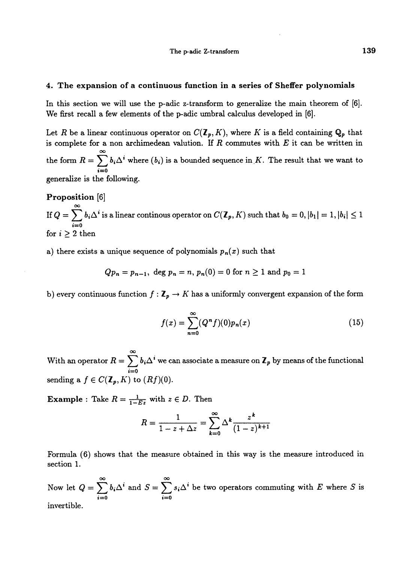#### 4. The expansion of a continuous function in a series of Sheffer polynomials

In this section we will use the p-adic z-transform to generalize the main theorem of [6]. We first recall a few elements of the p-adic umbral calculus developed in [6].

Let R be a linear continuous operator on  $C(\mathbf{Z}_p, K)$ , where K is a field containing  $\mathbf{Q}_p$  that is complete for a non archimedean valution. If  $R$  commutes with  $E$  it can be written in the form  $R = \sum_{i=0} b_i \Delta^i$  where  $(b_i)$  is a bounded sequence in K. The result that we want to generalize is the following.

## Proposition [6] If  $Q = \sum_{i=0}^{\infty} b_i \Delta^i$  is a linear continous operator on  $C(\mathcal{I}_p, K)$  such that  $b_0 = 0, |b_1| = 1, |b_i| \leq 1$ for  $i \geq 2$  then

a) there exists a unique sequence of polynomials  $p_n(x)$  such that

$$
Qp_n = p_{n-1}
$$
, deg  $p_n = n$ ,  $p_n(0) = 0$  for  $n \ge 1$  and  $p_0 = 1$ 

b) every continuous function  $f : \mathbb{Z}_p \to K$  has a uniformly convergent expansion of the form

$$
f(x) = \sum_{n=0}^{\infty} (Q^n f)(0) p_n(x)
$$
 (15)

With an operator  $R = \sum_{i=0}^{\infty} b_i \Delta^i$  we can associate a measure on  $\mathbb{Z}_p$  by means of the functional sending a  $f \in C(\mathbb{Z}_p, K)$  to  $(Rf)(0)$ .

**Example** : Take  $R = \frac{1}{1 - Ez}$  with  $z \in D$ . Then

$$
R = \frac{1}{1 - z + \Delta z} = \sum_{k=0}^{\infty} \Delta^k \frac{z^k}{(1 - z)^{k+1}}
$$

Formula (6) shows that the measure obtained in this way is the measure introduced in section 1.

Now let  $Q = \sum_{i=0}^{\infty} b_i \Delta^i$  and  $S = \sum_{i=0}^{\infty} s_i \Delta^i$  be two operators commuting with E where S is invertible.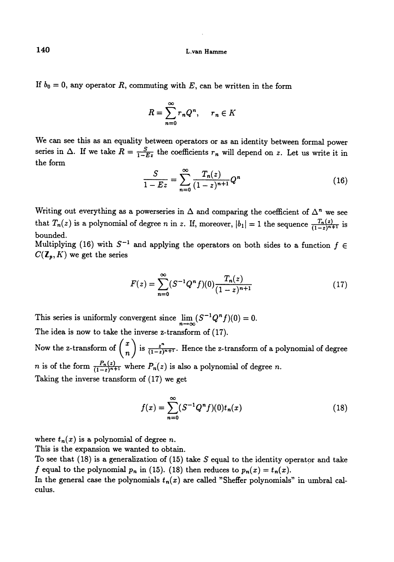If  $b_0 = 0$ , any operator R, commuting with E, can be written in the form

$$
R = \sum_{n=0}^{\infty} r_n Q^n, \quad r_n \in K
$$

We can see this as an equality between operators or as an identity between formal power series in  $\Delta$ . If we take  $R = \frac{S}{1-E^2}$  the coefficients  $r_n$  will depend on z. Let us write it in the form

$$
\frac{S}{1 - Ez} = \sum_{n=0}^{\infty} \frac{T_n(z)}{(1 - z)^{n+1}} Q^n
$$
 (16)

Writing out everything as a powerseries in  $\Delta$  and comparing the coefficient of  $\Delta^n$  we see that  $T_n(z)$  is a polynomial of degree n in z. If, moreover,  $|b_1| = 1$  the sequence  $\frac{T_n(z)}{(1-z)^{n+1}}$  is bounded.

Multiplying (16) with  $S^{-1}$  and applying the operators on both sides to a function  $f \in$  $C(\mathbf{Z}_p,K)$  we get the series

$$
F(z) = \sum_{n=0}^{\infty} (S^{-1}Q^n f)(0) \frac{T_n(z)}{(1-z)^{n+1}}
$$
 (17)

This series is uniformly convergent since  $\lim_{n\to\infty} (S^{-1}Q^n f)(0) = 0.$ The idea is now to take the inverse z-transform of (17).

Now the z-transform of  $\binom{x}{n}$  is  $\frac{z^n}{(1-z)^{n+1}}$ . Hence the z-transform of a polynomial of degree *n* is of the form  $\frac{P_n(z)}{(1-z)^{n+1}}$  where  $P_n(z)$  is also a polynomial of degree *n*. Taking the inverse transform of (17) we get

$$
f(x) = \sum_{n=0}^{\infty} (S^{-1}Q^n f)(0) t_n(x)
$$
 (18)

where  $t_n(x)$  is a polynomial of degree n.

This is the expansion we wanted to obtain.

To see that  $(18)$  is a generalization of  $(15)$  take S equal to the identity operator and take f equal to the polynomial  $p_n$  in (15). (18) then reduces to  $p_n(x) = t_n(x)$ .

In the general case the polynomials  $t_n(x)$  are called "Sheffer polynomials" in umbral calculus.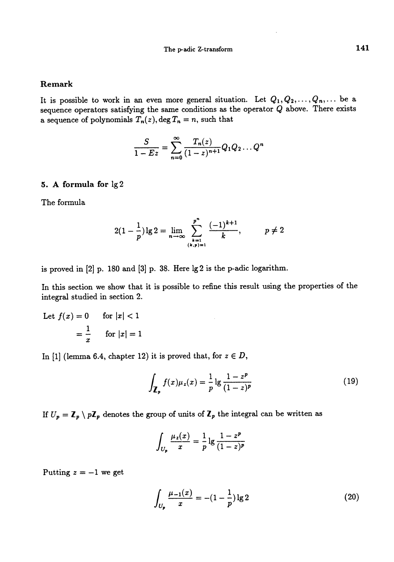#### Remark

It is possible to work in an even more general situation. Let  $Q_1, Q_2, \ldots, Q_n, \ldots$  be a sequence operators satisfying the same conditions as the operator  $Q$  above. There exists a sequence of polynomials  $T_n(z)$ , deg  $T_n = n$ , such that

$$
\frac{S}{1 - Ez} = \sum_{n=0}^{\infty} \frac{T_n(z)}{(1 - z)^{n+1}} Q_1 Q_2 \dots Q^n
$$

#### 5. A formula for lg 2

The formula

$$
2(1-\frac{1}{p})\lg 2 = \lim_{n\to\infty} \sum_{\substack{k=1\\(k,p)=1}}^{p^n} \frac{(-1)^{k+1}}{k}, \qquad p \neq 2
$$

is proved in [2] p. 180 and [3] p. 38. Here lg 2 is the p-adic logarithm.

In this section we show that it is possible to refine this result using the properties of the integral studied in section 2.

Let 
$$
f(x) = 0
$$
 for  $|x| < 1$   
=  $\frac{1}{x}$  for  $|x| = 1$ 

In [1] (lemma 6.4, chapter 12) it is proved that, for  $z \in D$ ,

$$
\int_{\mathbf{Z}_p} f(x) \mu_z(x) = \frac{1}{p} \lg \frac{1 - z^p}{(1 - z)^p}
$$
\n(19)

If  $U_p = \mathbb{Z}_p \setminus p\mathbb{Z}_p$  denotes the group of units of  $\mathbb{Z}_p$  the integral can be written as

$$
\int_{U_p} \frac{\mu_z(x)}{x} = \frac{1}{p} \lg \frac{1 - z^p}{(1 - z)^p}
$$

Putting  $z = -1$  we get

$$
\int_{U_p} \frac{\mu_{-1}(x)}{x} = -(1 - \frac{1}{p}) \lg 2 \tag{20}
$$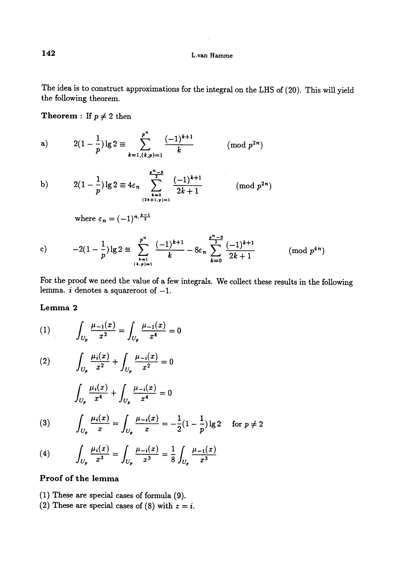The idea is to construct approximations for the integral on the LHS of (20). This will yield the following theorem.

**Theorem** : If  $p \neq 2$  then

a) 
$$
2(1-\frac{1}{p})\lg 2 \equiv \sum_{k=1,(k,p)=1}^{p^n} \frac{(-1)^{k+1}}{k}
$$
 (mod  $p^{2n}$ )

b) 
$$
2(1-\frac{1}{p})\lg 2 \equiv 4\varepsilon_n \sum_{\substack{k=0 \ (2k+1,p)=1}}^{\frac{p^n-3}{2}} \frac{(-1)^{k+1}}{2k+1}
$$
 (mod  $p^{2n}$ )

where 
$$
\varepsilon_n = (-1)^{n \cdot \frac{p-1}{2}}
$$

c) 
$$
-2(1-\frac{1}{p})\lg 2 \equiv \sum_{\substack{k=1 \ (k,p)=1}}^{p^n} \frac{(-1)^{k+1}}{k} - 8\varepsilon_n \sum_{k=0}^{\frac{p^n-3}{2}} \frac{(-1)^{k+1}}{2k+1} \qquad \pmod{p^{4n}}
$$

For the proof we need the value of a few integrals. We collect these results in the following lemma.  $i$  denotes a squareroot of  $-1$ .

#### Lemma 2

(1) 
$$
\int_{U_p} \frac{\mu_{-1}(x)}{x^2} = \int_{U_p} \frac{\mu_{-1}(x)}{x^4} = 0
$$

(2) 
$$
\int_{U_p} \frac{\mu_i(x)}{x^2} + \int_{U_p} \frac{\mu_{-i}(x)}{x^2} = 0
$$

$$
\int_{U_p} \frac{\mu_i(x)}{x^4} + \int_{U_p} \frac{\mu_{-i}(x)}{x^4} = 0
$$

(3) 
$$
\int_{U_p} \frac{\mu_i(x)}{x} = \int_{U_p} \frac{\mu_{-i}(x)}{x} = -\frac{1}{2}(1 - \frac{1}{p})\lg 2 \quad \text{for } p \neq 2
$$

(4) 
$$
\int_{U_p} \frac{\mu_i(x)}{x^3} = \int_{U_p} \frac{\mu_{-i}(x)}{x^3} = \frac{1}{8} \int_{U_p} \frac{\mu_{-1}(x)}{x^3}
$$

### Proof of the lemma

- (1) These are special cases of formula (9).
- (2) These are special cases of (8) with  $z = i$ .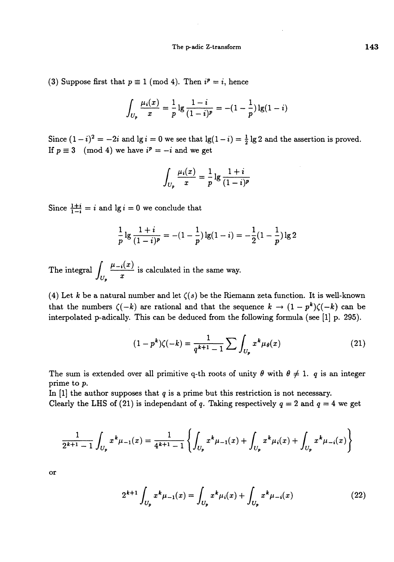(3) Suppose first that  $p \equiv 1 \pmod{4}$ . Then  $i^p = i$ , hence

$$
\int_{U_p} \frac{\mu_i(x)}{x} = \frac{1}{p} \lg \frac{1-i}{(1-i)^p} = -(1-\frac{1}{p}) \lg(1-i)
$$

Since  $(1-i)^2 = -2i$  and  $\lg i = 0$  we see that  $\lg(1-i) = \frac{1}{2} \lg 2$  and the assertion is proved. If  $p \equiv 3 \pmod{4}$  we have  $i^p = -i$  and we get

$$
\int_{U_p} \frac{\mu_i(x)}{x} = \frac{1}{p} \lg \frac{1+i}{(1-i)^p}
$$

Since  $\frac{1+i}{1-i} = i$  and  $\lg i = 0$  we conclude that

$$
\frac{1}{p}\lg\frac{1+i}{(1-i)^p} = -(1-\frac{1}{p})\lg(1-i) = -\frac{1}{2}(1-\frac{1}{p})\lg 2
$$

The integral  $\int_{U_2} \frac{\mu_{-i}(x)}{x}$  is calculated in the same way.

(4) Let k be a natural number and let  $\zeta(s)$  be the Riemann zeta function. It is well-known that the numbers  $\zeta(-k)$  are rational and that the sequence  $k \to (1 - p^k)\zeta(-k)$  can be interpolated p-adically. This can be deduced from the following formula (see  $[1]$  p. 295).

$$
(1 - pk)\zeta(-k) = \frac{1}{q^{k+1} - 1} \sum \int_{U_p} x^k \mu_{\theta}(x)
$$
 (21)

The sum is extended over all primitive q-th roots of unity  $\theta$  with  $\theta \neq 1$ . q is an integer prime to p.

In [1] the author supposes that  $q$  is a prime but this restriction is not necessary. Clearly the LHS of (21) is independant of q. Taking respectively  $q = 2$  and  $q = 4$  we get

$$
\frac{1}{2^{k+1}-1} \int_{U_p} x^k \mu_{-1}(x) = \frac{1}{4^{k+1}-1} \left\{ \int_{U_p} x^k \mu_{-1}(x) + \int_{U_p} x^k \mu_i(x) + \int_{U_p} x^k \mu_{-i}(x) \right\}
$$

or

$$
2^{k+1} \int_{U_p} x^k \mu_{-1}(x) = \int_{U_p} x^k \mu_i(x) + \int_{U_p} x^k \mu_{-i}(x) \tag{22}
$$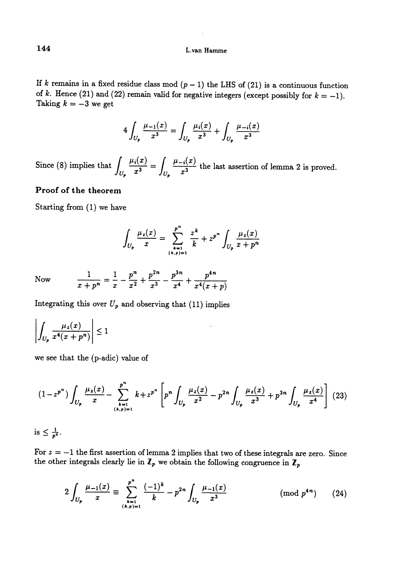If k remains in a fixed residue class mod  $(p-1)$  the LHS of (21) is a continuous function of k. Hence (21) and (22) remain valid for negative integers (except possibly for  $k = -1$ ). Taking  $k = -3$  we get

$$
4\int_{U_p} \frac{\mu_{-1}(x)}{x^3} = \int_{U_p} \frac{\mu_i(x)}{x^3} + \int_{U_p} \frac{\mu_{-i}(x)}{x^3}
$$

Since (8) implies that  $\int_{U_1} \frac{\mu_1(x)}{x^3} dx = \int_{U_1} \frac{\mu_2(x)}{x^3} dx$  the last assertion of lemma 2 is proved.

### Proof of the theorem

Starting from (1) we have

$$
\int_{U_p} \frac{\mu_z(x)}{x} = \sum_{\substack{k=1 \ (k,p)=1}}^{p^n} \frac{z^k}{k} + z^{p^n} \int_{U_p} \frac{\mu_z(x)}{x + p^n}
$$

Now  $\frac{1}{a+p}=\frac{1}{a}-\frac{p}{a^2}+\frac{p}{a^3}-\frac{p}{4}+$  $\mu$  ( $\mu$  +  $p$ )

Integrating this over  $U_p$  and observing that (11) implies

 $\overline{a}$ 

$$
\left| \int_{U_p} \frac{\mu_z(x)}{x^4(x+p^n)} \right| \le 1
$$

we see that the (p-adic) value of

$$
(1-z^{p^{n}})\int_{U_{p}}\frac{\mu_{z}(x)}{x}-\sum_{\substack{k=1\\(k,p)=1}}^{p^{n}}k+z^{p^{n}}\left[p^{n}\int_{U_{p}}\frac{\mu_{z}(x)}{x^{2}}-p^{2n}\int_{U_{p}}\frac{\mu_{z}(x)}{x^{3}}+p^{3n}\int_{U_{p}}\frac{\mu_{z}(x)}{x^{4}}\right] (23)
$$

is  $\leq \frac{1}{p^4}$ .

For  $z = -1$  the first assertion of lemma 2 implies that two of these integrals are zero. Since the other integrals clearly lie in  $\mathbb{Z}_p$  we obtain the following congruence in  $\mathbb{Z}_p$ 

$$
2\int_{U_p} \frac{\mu_{-1}(x)}{x} \equiv \sum_{\substack{k=1 \ (k,p)=1}}^{p^n} \frac{(-1)^k}{k} - p^{2n} \int_{U_p} \frac{\mu_{-1}(x)}{x^3} \qquad \qquad (\text{mod } p^{4n}) \qquad (24)
$$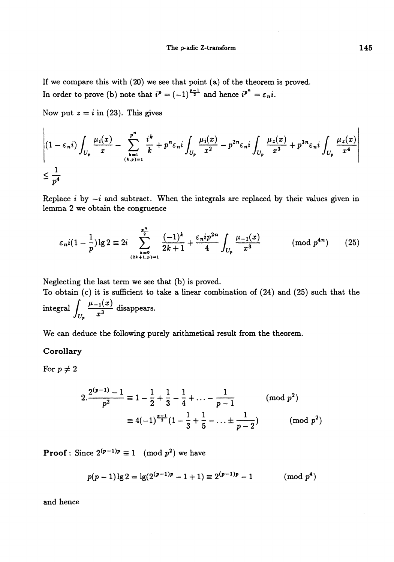$\mathbf{r}$ 

If we compare this with (20) we see that point (a) of the theorem is proved. In order to prove (b) note that  $i^p = (-1)^{\frac{p-1}{2}}$  and hence  $i^{p^n} = \varepsilon_n i$ .

Now put  $z = i$  in (23). This gives

$$
\left| (1 - \varepsilon_n i) \int_{U_p} \frac{\mu_i(x)}{x} - \sum_{\substack{k=1 \\ (k,p)=1}}^{p^n} \frac{i^k}{k} + p^n \varepsilon_n i \int_{U_p} \frac{\mu_i(x)}{x^2} - p^{2n} \varepsilon_n i \int_{U_p} \frac{\mu_i(x)}{x^3} + p^{3n} \varepsilon_n i \int_{U_p} \frac{\mu_i(x)}{x^4} \right|
$$
  

$$
\leq \frac{1}{p^4}
$$

Replace i by  $-i$  and subtract. When the integrals are replaced by their values given in lemma 2 we obtain the congruence

$$
\varepsilon_n i \left(1 - \frac{1}{p}\right) \lg 2 \equiv 2i \sum_{\substack{k=0 \ (2k+1,p)=1}}^{\frac{p^n}{2}} \frac{(-1)^k}{2k+1} + \frac{\varepsilon_n i p^{2n}}{4} \int_{U_p} \frac{\mu_{-1}(x)}{x^3} \qquad \pmod{p^{4n}} \qquad (25)
$$

Neglecting the last term we see that (b) is proved.

To obtain {c) it is sufficient to take a linear combination of (24) and (25) such that the integral  $\int_{U_n} \frac{\mu_{-1}(x)}{x^3}$  disappears.

We can deduce the following purely arithmetical result from the theorem.

#### **Corollary**

For  $p \neq 2$ 

$$
2.\frac{2^{(p-1)}-1}{p^2} \equiv 1 - \frac{1}{2} + \frac{1}{3} - \frac{1}{4} + \dots - \frac{1}{p-1} \pmod{p^2}
$$

$$
\equiv 4(-1)^{\frac{p-1}{2}}(1 - \frac{1}{3} + \frac{1}{5} - \dots \pm \frac{1}{p-2}) \pmod{p^2}
$$

**Proof**: Since  $2^{(p-1)p} \equiv 1 \pmod{p^2}$  we have

$$
p(p-1)\lg 2 = \lg(2^{(p-1)p} - 1 + 1) \equiv 2^{(p-1)p} - 1 \quad (\text{mod } p^4)
$$

and hence